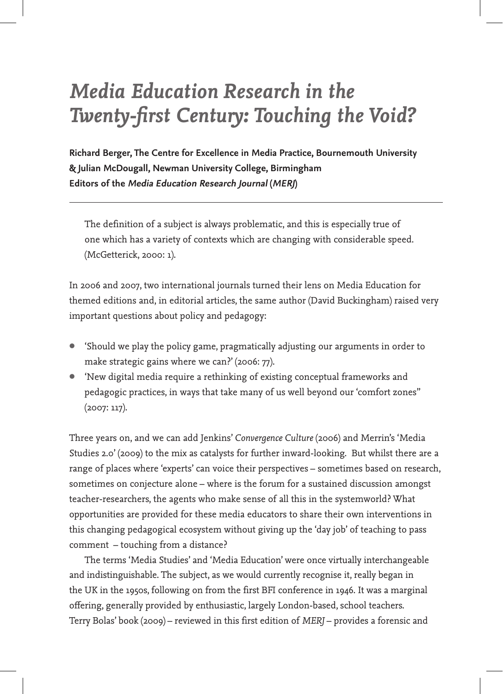# *Media Education Research in the Twenty-first Century: Touching the Void?*

**Richard Berger, The Centre for Excellence in Media Practice, Bournemouth University & Julian McDougall, Newman University College, Birmingham Editors of the Media Education Research Journal (MERJ)**

The definition of a subject is always problematic, and this is especially true of one which has a variety of contexts which are changing with considerable speed. (McGetterick, 2000: 1).

In 2006 and 2007, two international journals turned their lens on Media Education for themed editions and, in editorial articles, the same author (David Buckingham) raised very important questions about policy and pedagogy:

- 'Should we play the policy game, pragmatically adjusting our arguments in order to make strategic gains where we can?' (2006: 77).
- 'New digital media require a rethinking of existing conceptual frameworks and pedagogic practices, in ways that take many of us well beyond our 'comfort zones'' (2007: 117).

Three years on, and we can add Jenkins' *Convergence Culture* (2006) and Merrin's 'Media Studies 2.0' (2009) to the mix as catalysts for further inward-looking. But whilst there are a range of places where 'experts' can voice their perspectives – sometimes based on research, sometimes on conjecture alone – where is the forum for a sustained discussion amongst teacher-researchers, the agents who make sense of all this in the systemworld? What opportunities are provided for these media educators to share their own interventions in this changing pedagogical ecosystem without giving up the 'day job' of teaching to pass comment – touching from a distance?

The terms 'Media Studies' and 'Media Education' were once virtually interchangeable and indistinguishable. The subject, as we would currently recognise it, really began in the UK in the 1950s, following on from the first BFI conference in 1946. It was a marginal offering, generally provided by enthusiastic, largely London-based, school teachers. Terry Bolas' book (2009) – reviewed in this first edition of *MERJ* – provides a forensic and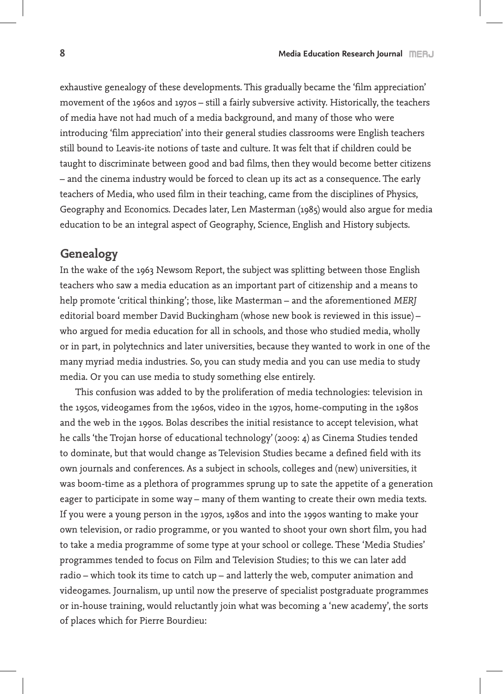exhaustive genealogy of these developments. This gradually became the 'film appreciation' movement of the 1960s and 1970s – still a fairly subversive activity. Historically, the teachers of media have not had much of a media background, and many of those who were introducing 'film appreciation' into their general studies classrooms were English teachers still bound to Leavis-ite notions of taste and culture. It was felt that if children could be taught to discriminate between good and bad films, then they would become better citizens – and the cinema industry would be forced to clean up its act as a consequence. The early teachers of Media, who used film in their teaching, came from the disciplines of Physics, Geography and Economics. Decades later, Len Masterman (1985) would also argue for media education to be an integral aspect of Geography, Science, English and History subjects.

## **Genealogy**

In the wake of the 1963 Newsom Report, the subject was splitting between those English teachers who saw a media education as an important part of citizenship and a means to help promote 'critical thinking'; those, like Masterman – and the aforementioned *MERJ* editorial board member David Buckingham (whose new book is reviewed in this issue) – who argued for media education for all in schools, and those who studied media, wholly or in part, in polytechnics and later universities, because they wanted to work in one of the many myriad media industries. So, you can study media and you can use media to study media. Or you can use media to study something else entirely.

This confusion was added to by the proliferation of media technologies: television in the 1950s, videogames from the 1960s, video in the 1970s, home-computing in the 1980s and the web in the 1990s. Bolas describes the initial resistance to accept television, what he calls 'the Trojan horse of educational technology' (2009: 4) as Cinema Studies tended to dominate, but that would change as Television Studies became a defined field with its own journals and conferences. As a subject in schools, colleges and (new) universities, it was boom-time as a plethora of programmes sprung up to sate the appetite of a generation eager to participate in some way – many of them wanting to create their own media texts. If you were a young person in the 1970s, 1980s and into the 1990s wanting to make your own television, or radio programme, or you wanted to shoot your own short film, you had to take a media programme of some type at your school or college. These 'Media Studies' programmes tended to focus on Film and Television Studies; to this we can later add radio – which took its time to catch up – and latterly the web, computer animation and videogames. Journalism, up until now the preserve of specialist postgraduate programmes or in-house training, would reluctantly join what was becoming a 'new academy', the sorts of places which for Pierre Bourdieu: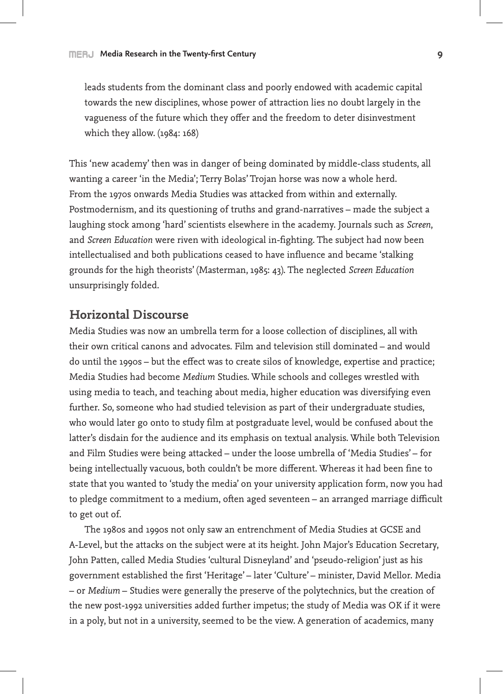leads students from the dominant class and poorly endowed with academic capital towards the new disciplines, whose power of attraction lies no doubt largely in the vagueness of the future which they offer and the freedom to deter disinvestment which they allow. (1984: 168)

This 'new academy' then was in danger of being dominated by middle-class students, all wanting a career 'in the Media'; Terry Bolas' Trojan horse was now a whole herd. From the 1970s onwards Media Studies was attacked from within and externally. Postmodernism, and its questioning of truths and grand-narratives – made the subject a laughing stock among 'hard' scientists elsewhere in the academy. Journals such as *Screen*, and *Screen Education* were riven with ideological in-fighting. The subject had now been intellectualised and both publications ceased to have influence and became 'stalking grounds for the high theorists' (Masterman, 1985: 43). The neglected *Screen Education*  unsurprisingly folded.

## **Horizontal Discourse**

Media Studies was now an umbrella term for a loose collection of disciplines, all with their own critical canons and advocates. Film and television still dominated – and would do until the 1990s – but the effect was to create silos of knowledge, expertise and practice; Media Studies had become *Medium* Studies. While schools and colleges wrestled with using media to teach, and teaching about media, higher education was diversifying even further. So, someone who had studied television as part of their undergraduate studies, who would later go onto to study film at postgraduate level, would be confused about the latter's disdain for the audience and its emphasis on textual analysis. While both Television and Film Studies were being attacked – under the loose umbrella of 'Media Studies' – for being intellectually vacuous, both couldn't be more different. Whereas it had been fine to state that you wanted to 'study the media' on your university application form, now you had to pledge commitment to a medium, often aged seventeen – an arranged marriage difficult to get out of.

The 1980s and 1990s not only saw an entrenchment of Media Studies at GCSE and A-Level, but the attacks on the subject were at its height. John Major's Education Secretary, John Patten, called Media Studies 'cultural Disneyland' and 'pseudo-religion' just as his government established the first 'Heritage' – later 'Culture' – minister, David Mellor. Media – or *Medium* – Studies were generally the preserve of the polytechnics, but the creation of the new post-1992 universities added further impetus; the study of Media was OK if it were in a poly, but not in a university, seemed to be the view. A generation of academics, many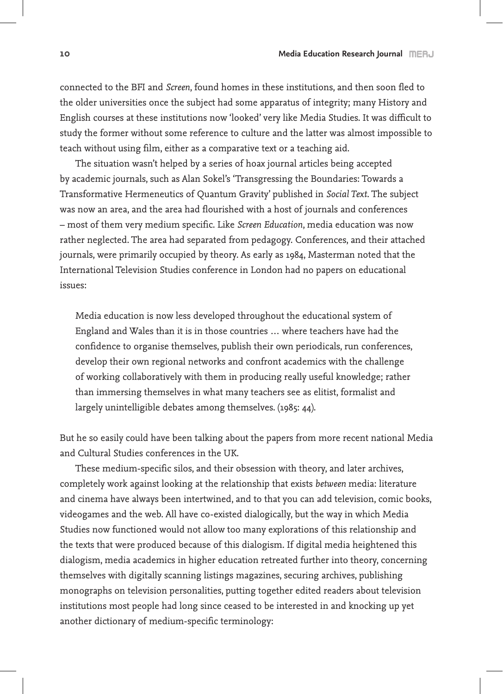connected to the BFI and *Screen*, found homes in these institutions, and then soon fled to the older universities once the subject had some apparatus of integrity; many History and English courses at these institutions now 'looked' very like Media Studies. It was difficult to study the former without some reference to culture and the latter was almost impossible to teach without using film, either as a comparative text or a teaching aid.

The situation wasn't helped by a series of hoax journal articles being accepted by academic journals, such as Alan Sokel's 'Transgressing the Boundaries: Towards a Transformative Hermeneutics of Quantum Gravity' published in *Social Text*. The subject was now an area, and the area had flourished with a host of journals and conferences – most of them very medium specific. Like *Screen Education*, media education was now rather neglected. The area had separated from pedagogy. Conferences, and their attached journals, were primarily occupied by theory. As early as 1984, Masterman noted that the International Television Studies conference in London had no papers on educational issues:

Media education is now less developed throughout the educational system of England and Wales than it is in those countries … where teachers have had the confidence to organise themselves, publish their own periodicals, run conferences, develop their own regional networks and confront academics with the challenge of working collaboratively with them in producing really useful knowledge; rather than immersing themselves in what many teachers see as elitist, formalist and largely unintelligible debates among themselves. (1985: 44).

But he so easily could have been talking about the papers from more recent national Media and Cultural Studies conferences in the UK.

These medium-specific silos, and their obsession with theory, and later archives, completely work against looking at the relationship that exists *between* media: literature and cinema have always been intertwined, and to that you can add television, comic books, videogames and the web. All have co-existed dialogically, but the way in which Media Studies now functioned would not allow too many explorations of this relationship and the texts that were produced because of this dialogism. If digital media heightened this dialogism, media academics in higher education retreated further into theory, concerning themselves with digitally scanning listings magazines, securing archives, publishing monographs on television personalities, putting together edited readers about television institutions most people had long since ceased to be interested in and knocking up yet another dictionary of medium-specific terminology: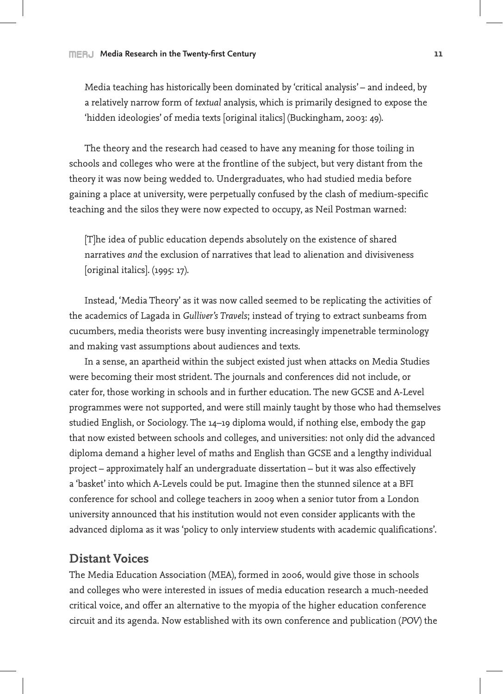Media teaching has historically been dominated by 'critical analysis' – and indeed, by a relatively narrow form of *textual* analysis, which is primarily designed to expose the 'hidden ideologies' of media texts [original italics] (Buckingham, 2003: 49).

The theory and the research had ceased to have any meaning for those toiling in schools and colleges who were at the frontline of the subject, but very distant from the theory it was now being wedded to. Undergraduates, who had studied media before gaining a place at university, were perpetually confused by the clash of medium-specific teaching and the silos they were now expected to occupy, as Neil Postman warned:

[T]he idea of public education depends absolutely on the existence of shared narratives *and* the exclusion of narratives that lead to alienation and divisiveness [original italics]. (1995: 17).

Instead, 'Media Theory' as it was now called seemed to be replicating the activities of the academics of Lagada in *Gulliver's Travels*; instead of trying to extract sunbeams from cucumbers, media theorists were busy inventing increasingly impenetrable terminology and making vast assumptions about audiences and texts.

In a sense, an apartheid within the subject existed just when attacks on Media Studies were becoming their most strident. The journals and conferences did not include, or cater for, those working in schools and in further education. The new GCSE and A-Level programmes were not supported, and were still mainly taught by those who had themselves studied English, or Sociology. The 14–19 diploma would, if nothing else, embody the gap that now existed between schools and colleges, and universities: not only did the advanced diploma demand a higher level of maths and English than GCSE and a lengthy individual project – approximately half an undergraduate dissertation – but it was also effectively a 'basket' into which A-Levels could be put. Imagine then the stunned silence at a BFI conference for school and college teachers in 2009 when a senior tutor from a London university announced that his institution would not even consider applicants with the advanced diploma as it was 'policy to only interview students with academic qualifications'.

## **Distant Voices**

The Media Education Association (MEA), formed in 2006, would give those in schools and colleges who were interested in issues of media education research a much-needed critical voice, and offer an alternative to the myopia of the higher education conference circuit and its agenda. Now established with its own conference and publication (*POV*) the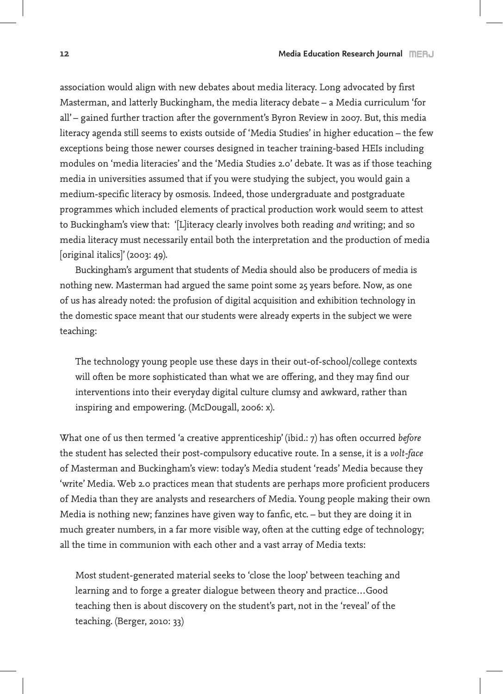association would align with new debates about media literacy. Long advocated by first Masterman, and latterly Buckingham, the media literacy debate – a Media curriculum 'for all' – gained further traction after the government's Byron Review in 2007. But, this media literacy agenda still seems to exists outside of 'Media Studies' in higher education – the few exceptions being those newer courses designed in teacher training-based HEIs including modules on 'media literacies' and the 'Media Studies 2.0' debate. It was as if those teaching media in universities assumed that if you were studying the subject, you would gain a medium-specific literacy by osmosis. Indeed, those undergraduate and postgraduate programmes which included elements of practical production work would seem to attest to Buckingham's view that: '[L]iteracy clearly involves both reading *and* writing; and so media literacy must necessarily entail both the interpretation and the production of media [original italics]' (2003: 49).

Buckingham's argument that students of Media should also be producers of media is nothing new. Masterman had argued the same point some 25 years before. Now, as one of us has already noted: the profusion of digital acquisition and exhibition technology in the domestic space meant that our students were already experts in the subject we were teaching:

The technology young people use these days in their out-of-school/college contexts will often be more sophisticated than what we are offering, and they may find our interventions into their everyday digital culture clumsy and awkward, rather than inspiring and empowering. (McDougall, 2006: x).

What one of us then termed 'a creative apprenticeship' (ibid.: 7) has often occurred *before* the student has selected their post-compulsory educative route. In a sense, it is a *volt-face* of Masterman and Buckingham's view: today's Media student 'reads' Media because they 'write' Media. Web 2.0 practices mean that students are perhaps more proficient producers of Media than they are analysts and researchers of Media. Young people making their own Media is nothing new; fanzines have given way to fanfic, etc. – but they are doing it in much greater numbers, in a far more visible way, often at the cutting edge of technology; all the time in communion with each other and a vast array of Media texts:

Most student-generated material seeks to 'close the loop' between teaching and learning and to forge a greater dialogue between theory and practice…Good teaching then is about discovery on the student's part, not in the 'reveal' of the teaching. (Berger, 2010: 33)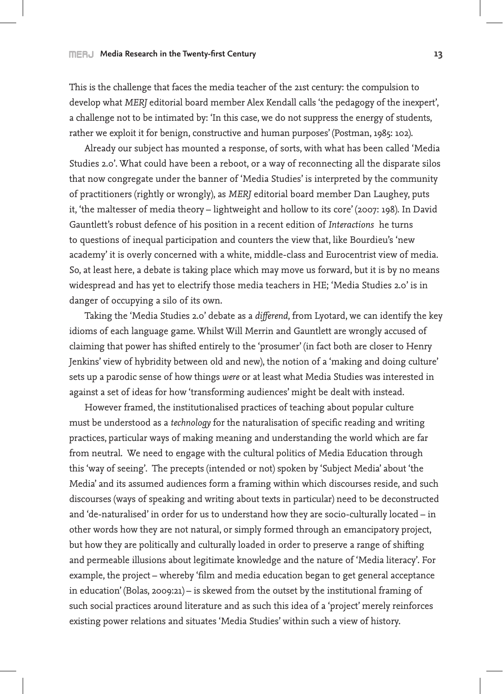#### **MERU** Media Research in the Twenty-first Century **13 13**

This is the challenge that faces the media teacher of the 21st century: the compulsion to develop what *MERJ* editorial board member Alex Kendall calls 'the pedagogy of the inexpert', a challenge not to be intimated by: 'In this case, we do not suppress the energy of students, rather we exploit it for benign, constructive and human purposes' (Postman, 1985: 102).

Already our subject has mounted a response, of sorts, with what has been called 'Media Studies 2.0'. What could have been a reboot, or a way of reconnecting all the disparate silos that now congregate under the banner of 'Media Studies' is interpreted by the community of practitioners (rightly or wrongly), as *MERJ* editorial board member Dan Laughey, puts it, 'the maltesser of media theory – lightweight and hollow to its core' (2007: 198). In David Gauntlett's robust defence of his position in a recent edition of *Interactions* he turns to questions of inequal participation and counters the view that, like Bourdieu's 'new academy' it is overly concerned with a white, middle-class and Eurocentrist view of media. So, at least here, a debate is taking place which may move us forward, but it is by no means widespread and has yet to electrify those media teachers in HE; 'Media Studies 2.0' is in danger of occupying a silo of its own.

Taking the 'Media Studies 2.0' debate as a *differend*, from Lyotard, we can identify the key idioms of each language game. Whilst Will Merrin and Gauntlett are wrongly accused of claiming that power has shifted entirely to the 'prosumer' (in fact both are closer to Henry Jenkins' view of hybridity between old and new), the notion of a 'making and doing culture' sets up a parodic sense of how things *were* or at least what Media Studies was interested in against a set of ideas for how 'transforming audiences' might be dealt with instead.

However framed, the institutionalised practices of teaching about popular culture must be understood as a *technology* for the naturalisation of specific reading and writing practices, particular ways of making meaning and understanding the world which are far from neutral. We need to engage with the cultural politics of Media Education through this 'way of seeing'. The precepts (intended or not) spoken by 'Subject Media' about 'the Media' and its assumed audiences form a framing within which discourses reside, and such discourses (ways of speaking and writing about texts in particular) need to be deconstructed and 'de-naturalised' in order for us to understand how they are socio-culturally located – in other words how they are not natural, or simply formed through an emancipatory project, but how they are politically and culturally loaded in order to preserve a range of shifting and permeable illusions about legitimate knowledge and the nature of 'Media literacy'. For example, the project – whereby 'film and media education began to get general acceptance in education' (Bolas, 2009:21) – is skewed from the outset by the institutional framing of such social practices around literature and as such this idea of a 'project' merely reinforces existing power relations and situates 'Media Studies' within such a view of history.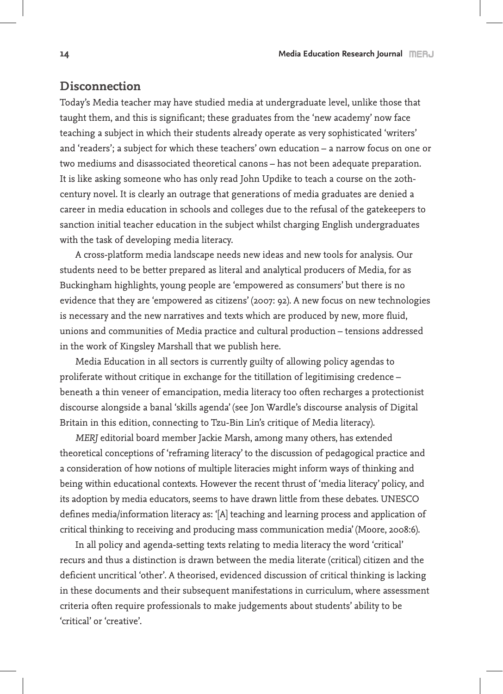## **Disconnection**

Today's Media teacher may have studied media at undergraduate level, unlike those that taught them, and this is significant; these graduates from the 'new academy' now face teaching a subject in which their students already operate as very sophisticated 'writers' and 'readers'; a subject for which these teachers' own education – a narrow focus on one or two mediums and disassociated theoretical canons – has not been adequate preparation. It is like asking someone who has only read John Updike to teach a course on the 20thcentury novel. It is clearly an outrage that generations of media graduates are denied a career in media education in schools and colleges due to the refusal of the gatekeepers to sanction initial teacher education in the subject whilst charging English undergraduates with the task of developing media literacy.

A cross-platform media landscape needs new ideas and new tools for analysis. Our students need to be better prepared as literal and analytical producers of Media, for as Buckingham highlights, young people are 'empowered as consumers' but there is no evidence that they are 'empowered as citizens' (2007: 92). A new focus on new technologies is necessary and the new narratives and texts which are produced by new, more fluid, unions and communities of Media practice and cultural production – tensions addressed in the work of Kingsley Marshall that we publish here.

Media Education in all sectors is currently guilty of allowing policy agendas to proliferate without critique in exchange for the titillation of legitimising credence – beneath a thin veneer of emancipation, media literacy too often recharges a protectionist discourse alongside a banal 'skills agenda' (see Jon Wardle's discourse analysis of Digital Britain in this edition, connecting to Tzu-Bin Lin's critique of Media literacy).

*MERJ* editorial board member Jackie Marsh, among many others, has extended theoretical conceptions of 'reframing literacy' to the discussion of pedagogical practice and a consideration of how notions of multiple literacies might inform ways of thinking and being within educational contexts. However the recent thrust of 'media literacy' policy, and its adoption by media educators, seems to have drawn little from these debates. UNESCO defines media/information literacy as: '[A] teaching and learning process and application of critical thinking to receiving and producing mass communication media' (Moore, 2008:6).

In all policy and agenda-setting texts relating to media literacy the word 'critical' recurs and thus a distinction is drawn between the media literate (critical) citizen and the deficient uncritical 'other'. A theorised, evidenced discussion of critical thinking is lacking in these documents and their subsequent manifestations in curriculum, where assessment criteria often require professionals to make judgements about students' ability to be 'critical' or 'creative'.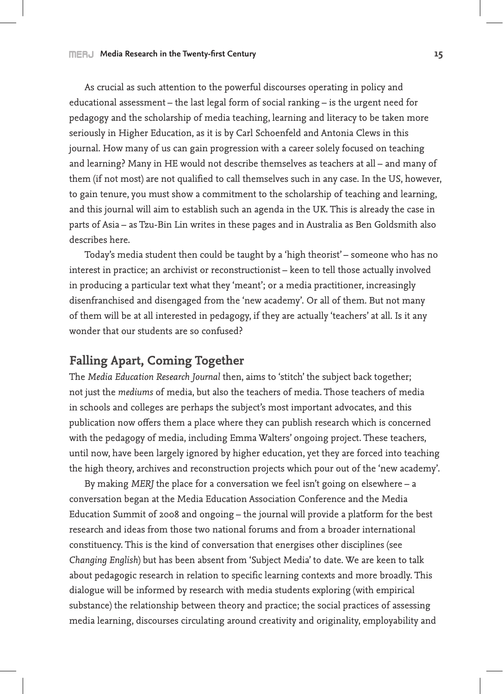As crucial as such attention to the powerful discourses operating in policy and educational assessment – the last legal form of social ranking – is the urgent need for pedagogy and the scholarship of media teaching, learning and literacy to be taken more seriously in Higher Education, as it is by Carl Schoenfeld and Antonia Clews in this journal. How many of us can gain progression with a career solely focused on teaching and learning? Many in HE would not describe themselves as teachers at all – and many of them (if not most) are not qualified to call themselves such in any case. In the US, however, to gain tenure, you must show a commitment to the scholarship of teaching and learning, and this journal will aim to establish such an agenda in the UK. This is already the case in parts of Asia – as Tzu-Bin Lin writes in these pages and in Australia as Ben Goldsmith also describes here.

Today's media student then could be taught by a 'high theorist' – someone who has no interest in practice; an archivist or reconstructionist – keen to tell those actually involved in producing a particular text what they 'meant'; or a media practitioner, increasingly disenfranchised and disengaged from the 'new academy'. Or all of them. But not many of them will be at all interested in pedagogy, if they are actually 'teachers' at all. Is it any wonder that our students are so confused?

# **Falling Apart, Coming Together**

The *Media Education Research Journal* then, aims to 'stitch' the subject back together; not just the *mediums* of media, but also the teachers of media. Those teachers of media in schools and colleges are perhaps the subject's most important advocates, and this publication now offers them a place where they can publish research which is concerned with the pedagogy of media, including Emma Walters' ongoing project. These teachers, until now, have been largely ignored by higher education, yet they are forced into teaching the high theory, archives and reconstruction projects which pour out of the 'new academy'.

By making *MERJ* the place for a conversation we feel isn't going on elsewhere – a conversation began at the Media Education Association Conference and the Media Education Summit of 2008 and ongoing – the journal will provide a platform for the best research and ideas from those two national forums and from a broader international constituency. This is the kind of conversation that energises other disciplines (see *Changing English*) but has been absent from 'Subject Media' to date. We are keen to talk about pedagogic research in relation to specific learning contexts and more broadly. This dialogue will be informed by research with media students exploring (with empirical substance) the relationship between theory and practice; the social practices of assessing media learning, discourses circulating around creativity and originality, employability and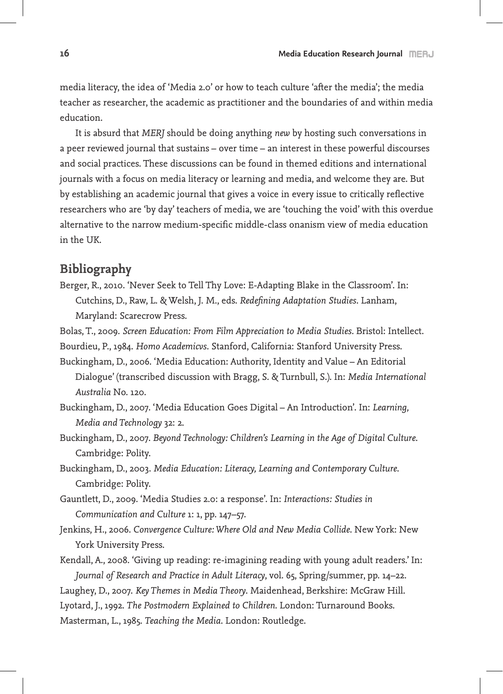media literacy, the idea of 'Media 2.0' or how to teach culture 'after the media'; the media teacher as researcher, the academic as practitioner and the boundaries of and within media education.

It is absurd that *MERJ* should be doing anything *new* by hosting such conversations in a peer reviewed journal that sustains – over time – an interest in these powerful discourses and social practices. These discussions can be found in themed editions and international journals with a focus on media literacy or learning and media, and welcome they are. But by establishing an academic journal that gives a voice in every issue to critically reflective researchers who are 'by day' teachers of media, we are 'touching the void' with this overdue alternative to the narrow medium-specific middle-class onanism view of media education in the UK.

# **Bibliography**

- Berger, R., 2010. 'Never Seek to Tell Thy Love: E-Adapting Blake in the Classroom'. In: Cutchins, D., Raw, L. & Welsh, J. M., eds. *Redefining Adaptation Studies*. Lanham, Maryland: Scarecrow Press.
- Bolas, T., 2009. *Screen Education: From Film Appreciation to Media Studies*. Bristol: Intellect.
- Bourdieu, P., 1984. *Homo Academicvs*. Stanford, California: Stanford University Press.
- Buckingham, D., 2006. 'Media Education: Authority, Identity and Value An Editorial Dialogue' (transcribed discussion with Bragg, S. & Turnbull, S.). In: *Media International Australia* No. 120.
- Buckingham, D., 2007. 'Media Education Goes Digital An Introduction'. In: *Learning, Media and Technology* 32: 2.
- Buckingham, D., 2007. *Beyond Technology: Children's Learning in the Age of Digital Culture*. Cambridge: Polity.
- Buckingham, D., 2003. *Media Education: Literacy, Learning and Contemporary Culture*. Cambridge: Polity.
- Gauntlett, D., 2009. 'Media Studies 2.0: a response'. In: *Interactions: Studies in Communication and Culture* 1: 1, pp. 147–57.
- Jenkins, H., 2006. *Convergence Culture: Where Old and New Media Collide*. New York: New York University Press.

Kendall, A., 2008. 'Giving up reading: re-imagining reading with young adult readers.' In: *Journal of Research and Practice in Adult Literacy*, vol. 65, Spring/summer, pp. 14–22.

Laughey, D., 2007. *Key Themes in Media Theory*. Maidenhead, Berkshire: McGraw Hill. Lyotard, J., 1992. *The Postmodern Explained to Children*. London: Turnaround Books. Masterman, L., 1985. *Teaching the Media*. London: Routledge.